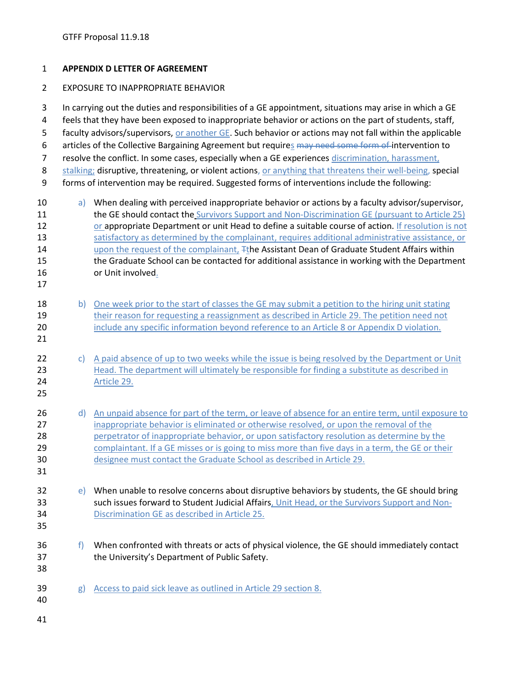## **APPENDIX D LETTER OF AGREEMENT**

## EXPOSURE TO INAPPROPRIATE BEHAVIOR

 In carrying out the duties and responsibilities of a GE appointment, situations may arise in which a GE feels that they have been exposed to inappropriate behavior or actions on the part of students, staff, 5 faculty advisors/supervisors, or another GE. Such behavior or actions may not fall within the applicable 6 articles of the Collective Bargaining Agreement but requires may need some form of intervention to 7 resolve the conflict. In some cases, especially when a GE experiences discrimination, harassment, 8 stalking; disruptive, threatening, or violent actions, or anything that threatens their well-being, special forms of intervention may be required. Suggested forms of interventions include the following: 10 a) When dealing with perceived inappropriate behavior or actions by a faculty advisor/supervisor, 11 the GE should contact the Survivors Support and Non-Discrimination GE (pursuant to Article 25) or appropriate Department or unit Head to define a suitable course of action. If resolution is not satisfactory as determined by the complainant, requires additional administrative assistance, or 14 upon the request of the complainant, The Assistant Dean of Graduate Student Affairs within the Graduate School can be contacted for additional assistance in working with the Department or Unit involved. 18 b) One week prior to the start of classes the GE may submit a petition to the hiring unit stating 19 their reason for requesting a reassignment as described in Article 29. The petition need not **include any specific information beyond reference to an Article 8 or Appendix D violation.**  22 c) A paid absence of up to two weeks while the issue is being resolved by the Department or Unit Head. The department will ultimately be responsible for finding a substitute as described in Article 29. 26 d) An unpaid absence for part of the term, or leave of absence for an entire term, until exposure to 27 inappropriate behavior is eliminated or otherwise resolved, or upon the removal of the **perpetrator of inappropriate behavior, or upon satisfactory resolution as determine by the**  complaintant. If a GE misses or is going to miss more than five days in a term, the GE or their designee must contact the Graduate School as described in Article 29. e) When unable to resolve concerns about disruptive behaviors by students, the GE should bring such issues forward to Student Judicial Affairs, Unit Head, or the Survivors Support and Non- Discrimination GE as described in Article 25. f) When confronted with threats or acts of physical violence, the GE should immediately contact the University's Department of Public Safety. 39 g) Access to paid sick leave as outlined in Article 29 section 8.